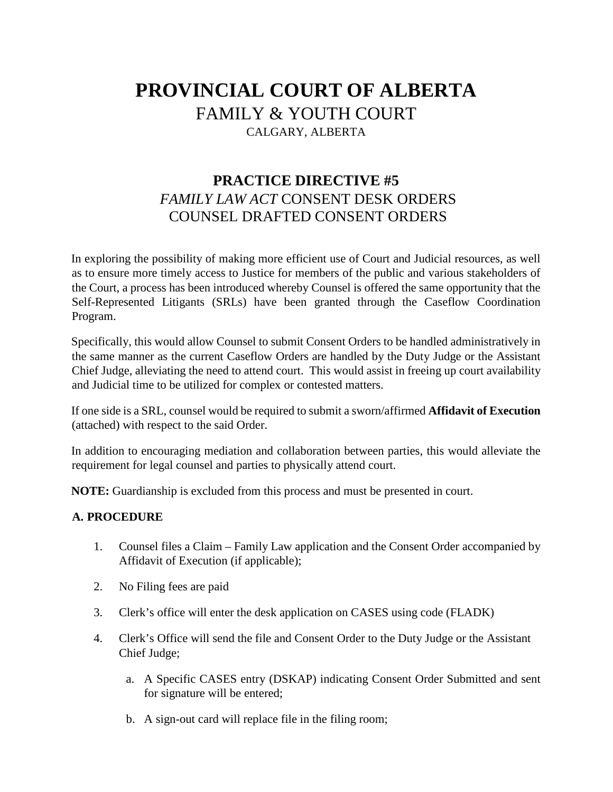## **PROVINCIAL COURT OF ALBERTA**  FAMILY & YOUTH COURT CALGARY, ALBERTA

## **PRACTICE DIRECTIVE #5**  *FAMILY LAW ACT* CONSENT DESK ORDERS COUNSEL DRAFTED CONSENT ORDERS

In exploring the possibility of making more efficient use of Court and Judicial resources, as well as to ensure more timely access to Justice for members of the public and various stakeholders of the Court, a process has been introduced whereby Counsel is offered the same opportunity that the Self-Represented Litigants (SRLs) have been granted through the Caseflow Coordination Program.

Specifically, this would allow Counsel to submit Consent Orders to be handled administratively in the same manner as the current Caseflow Orders are handled by the Duty Judge or the Assistant Chief Judge, alleviating the need to attend court. This would assist in freeing up court availability and Judicial time to be utilized for complex or contested matters.

If one side is a SRL, counsel would be required to submit a sworn/affirmed **Affidavit of Execution** (attached) with respect to the said Order.

In addition to encouraging mediation and collaboration between parties, this would alleviate the requirement for legal counsel and parties to physically attend court.

**NOTE:** Guardianship is excluded from this process and must be presented in court.

## **A. PROCEDURE**

- 1. Counsel files a Claim Family Law application and the Consent Order accompanied by Affidavit of Execution (if applicable);
- 2. No Filing fees are paid
- 3. Clerk's office will enter the desk application on CASES using code (FLADK)
- 4. Clerk's Office will send the file and Consent Order to the Duty Judge or the Assistant Chief Judge;
	- a. A Specific CASES entry (DSKAP) indicating Consent Order Submitted and sent for signature will be entered;
	- b. A sign-out card will replace file in the filing room;